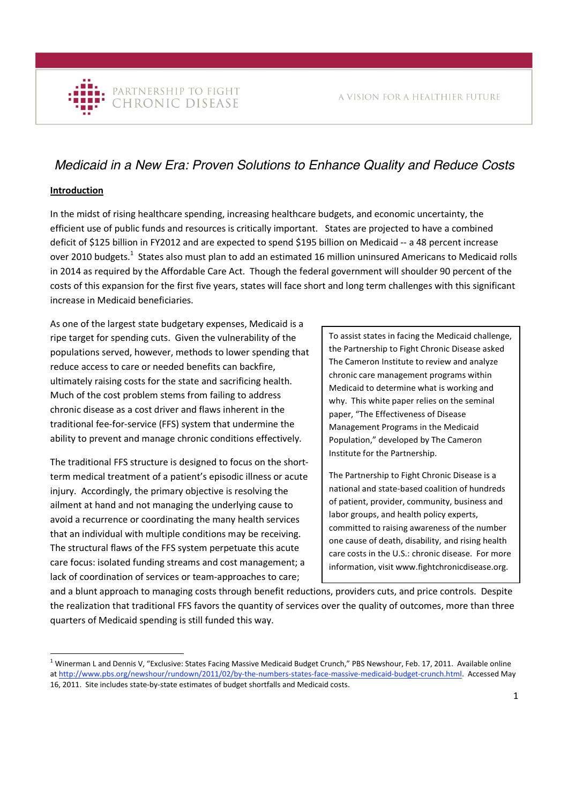# *Medicaid in a New Era: Proven Solutions to Enhance Quality and Reduce Costs*

# **Introduction**

In the midst of rising healthcare spending, increasing healthcare budgets, and economic uncertainty, the efficient use of public funds and resources is critically important. States are projected to have a combined deficit of \$125 billion in FY2012 and are expected to spend \$195 billion on Medicaid -- a 48 percent increase over 2010 budgets.<sup>1</sup> States also must plan to add an estimated 16 million uninsured Americans to Medicaid rolls in 2014 as required by the Affordable Care Act. Though the federal government will shoulder 90 percent of the costs of this expansion for the first five years, states will face short and long term challenges with this significant increase in Medicaid beneficiaries.

As one of the largest state budgetary expenses, Medicaid is a ripe target for spending cuts. Given the vulnerability of the populations served, however, methods to lower spending that reduce access to care or needed benefits can backfire, ultimately raising costs for the state and sacrificing health. Much of the cost problem stems from failing to address chronic disease as a cost driver and flaws inherent in the traditional fee‐for‐service (FFS) system that undermine the ability to prevent and manage chronic conditions effectively.

The traditional FFS structure is designed to focus on the short‐ term medical treatment of a patient's episodic illness or acute injury. Accordingly, the primary objective is resolving the ailment at hand and not managing the underlying cause to avoid a recurrence or coordinating the many health services that an individual with multiple conditions may be receiving. The structural flaws of the FFS system perpetuate this acute care focus: isolated funding streams and cost management; a lack of coordination of services or team‐approaches to care;

To assist states in facing the Medicaid challenge, the Partnership to Fight Chronic Disease asked The Cameron Institute to review and analyze chronic care management programs within Medicaid to determine what is working and why. This white paper relies on the seminal paper, "The Effectiveness of Disease Management Programs in the Medicaid Population," developed by The Cameron Institute for the Partnership.

The Partnership to Fight Chronic Disease is a national and state‐based coalition of hundreds of patient, provider, community, business and labor groups, and health policy experts, committed to raising awareness of the number one cause of death, disability, and rising health care costs in the U.S.: chronic disease. For more information, visit www.fightchronicdisease.org.

and a blunt approach to managing costs through benefit reductions, providers cuts, and price controls. Despite the realization that traditional FFS favors the quantity of services over the quality of outcomes, more than three quarters of Medicaid spending is still funded this way.

<sup>&</sup>lt;sup>1</sup> Winerman L and Dennis V, "Exclusive: States Facing Massive Medicaid Budget Crunch," PBS Newshour, Feb. 17, 2011. Available online at http://www.pbs.org/newshour/rundown/2011/02/by‐the‐numbers‐states‐face‐massive‐medicaid‐budget‐crunch.html. Accessed May 16, 2011. Site includes state‐by‐state estimates of budget shortfalls and Medicaid costs.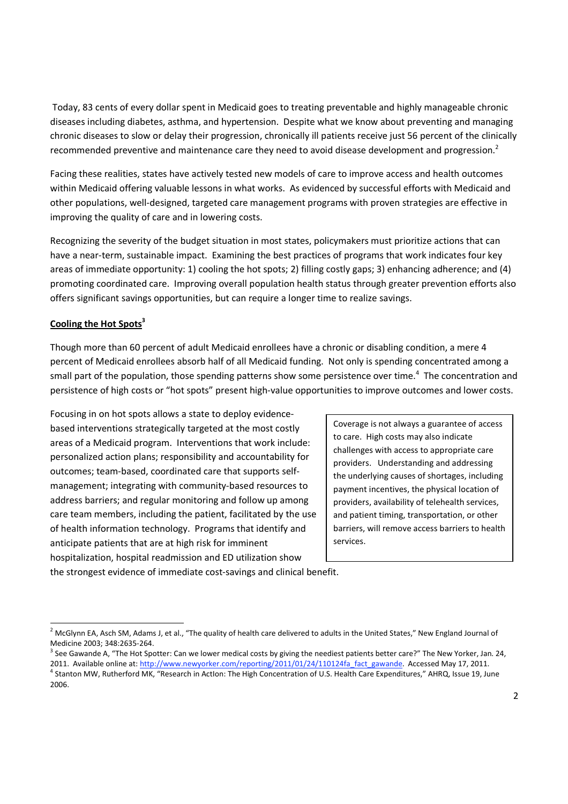Today, 83 cents of every dollar spent in Medicaid goes to treating preventable and highly manageable chronic diseases including diabetes, asthma, and hypertension. Despite what we know about preventing and managing chronic diseases to slow or delay their progression, chronically ill patients receive just 56 percent of the clinically recommended preventive and maintenance care they need to avoid disease development and progression.<sup>2</sup>

Facing these realities, states have actively tested new models of care to improve access and health outcomes within Medicaid offering valuable lessons in what works. As evidenced by successful efforts with Medicaid and other populations, well‐designed, targeted care management programs with proven strategies are effective in improving the quality of care and in lowering costs.

Recognizing the severity of the budget situation in most states, policymakers must prioritize actions that can have a near-term, sustainable impact. Examining the best practices of programs that work indicates four key areas of immediate opportunity: 1) cooling the hot spots; 2) filling costly gaps; 3) enhancing adherence; and (4) promoting coordinated care. Improving overall population health status through greater prevention efforts also offers significant savings opportunities, but can require a longer time to realize savings.

## **Cooling the Hot Spots3**

Though more than 60 percent of adult Medicaid enrollees have a chronic or disabling condition, a mere 4 percent of Medicaid enrollees absorb half of all Medicaid funding. Not only is spending concentrated among a small part of the population, those spending patterns show some persistence over time.<sup>4</sup> The concentration and persistence of high costs or "hot spots" present high-value opportunities to improve outcomes and lower costs.

Focusing in on hot spots allows a state to deploy evidence‐ based interventions strategically targeted at the most costly areas of a Medicaid program. Interventions that work include: personalized action plans; responsibility and accountability for outcomes; team‐based, coordinated care that supports self‐ management; integrating with community‐based resources to address barriers; and regular monitoring and follow up among care team members, including the patient, facilitated by the use of health information technology. Programs that identify and anticipate patients that are at high risk for imminent hospitalization, hospital readmission and ED utilization show

Coverage is not always a guarantee of access to care. High costs may also indicate challenges with access to appropriate care providers. Understanding and addressing the underlying causes of shortages, including payment incentives, the physical location of providers, availability of telehealth services, and patient timing, transportation, or other barriers, will remove access barriers to health services.

the strongest evidence of immediate cost-savings and clinical benefit.

<sup>&</sup>lt;sup>2</sup> McGlynn EA, Asch SM, Adams J, et al., "The quality of health care delivered to adults in the United States," New England Journal of Medicine 2003; 348:2635-264.<br><sup>3</sup> See Gawande A, "The Hot Spotter: Can we lower medical costs by giving the neediest patients better care?" The New Yorker, Jan. 24,

<sup>2011.</sup> Available online at: http://www.newyorker.com/reporting/2011/01/24/110124fa fact gawande. Accessed May 17, 2011.<br><sup>4</sup> Stanton MW, Rutherford MK, "Research in Actlon: The High Concentration of U.S. Health Care Expendit 2006.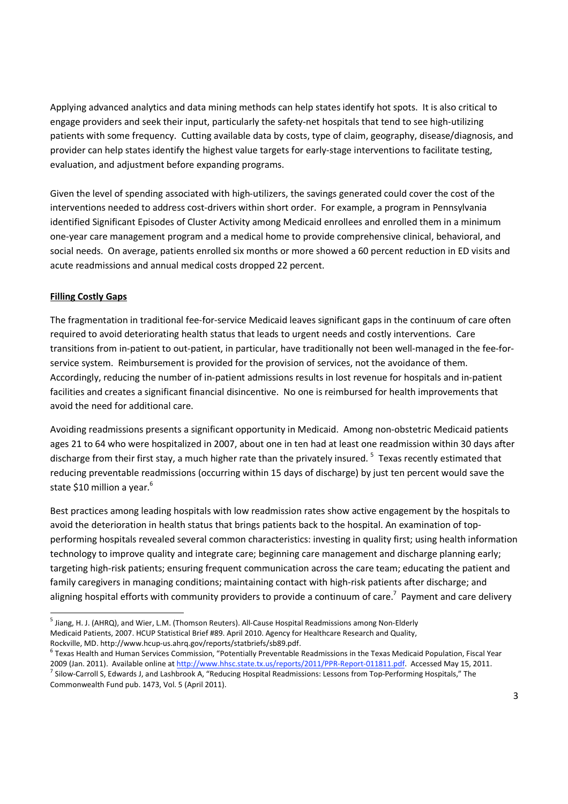Applying advanced analytics and data mining methods can help states identify hot spots. It is also critical to engage providers and seek their input, particularly the safety-net hospitals that tend to see high-utilizing patients with some frequency. Cutting available data by costs, type of claim, geography, disease/diagnosis, and provider can help states identify the highest value targets for early-stage interventions to facilitate testing, evaluation, and adjustment before expanding programs.

Given the level of spending associated with high-utilizers, the savings generated could cover the cost of the interventions needed to address cost-drivers within short order. For example, a program in Pennsylvania identified Significant Episodes of Cluster Activity among Medicaid enrollees and enrolled them in a minimum one‐year care management program and a medical home to provide comprehensive clinical, behavioral, and social needs. On average, patients enrolled six months or more showed a 60 percent reduction in ED visits and acute readmissions and annual medical costs dropped 22 percent.

# **Filling Costly Gaps**

The fragmentation in traditional fee‐for‐service Medicaid leaves significant gaps in the continuum of care often required to avoid deteriorating health status that leads to urgent needs and costly interventions. Care transitions from in-patient to out-patient, in particular, have traditionally not been well-managed in the fee-forservice system. Reimbursement is provided for the provision of services, not the avoidance of them. Accordingly, reducing the number of in‐patient admissions results in lost revenue for hospitals and in‐patient facilities and creates a significant financial disincentive. No one is reimbursed for health improvements that avoid the need for additional care.

Avoiding readmissions presents a significant opportunity in Medicaid. Among non‐obstetric Medicaid patients ages 21 to 64 who were hospitalized in 2007, about one in ten had at least one readmission within 30 days after discharge from their first stay, a much higher rate than the privately insured.<sup>5</sup> Texas recently estimated that reducing preventable readmissions (occurring within 15 days of discharge) by just ten percent would save the state \$10 million a year.<sup>6</sup>

Best practices among leading hospitals with low readmission rates show active engagement by the hospitals to avoid the deterioration in health status that brings patients back to the hospital. An examination of topperforming hospitals revealed several common characteristics: investing in quality first; using health information technology to improve quality and integrate care; beginning care management and discharge planning early; targeting high-risk patients; ensuring frequent communication across the care team; educating the patient and family caregivers in managing conditions; maintaining contact with high-risk patients after discharge; and aligning hospital efforts with community providers to provide a continuum of care.<sup>7</sup> Payment and care delivery

<sup>&</sup>lt;sup>5</sup> Jiang, H. J. (AHRQ), and Wier, L.M. (Thomson Reuters). All-Cause Hospital Readmissions among Non-Elderly Medicaid Patients, 2007. HCUP Statistical Brief #89. April 2010. Agency for Healthcare Research and Quality,

Rockville, MD. http://www.hcup-us.ahrq.gov/reports/statbriefs/sb89.pdf.<br><sup>6</sup> Texas Health and Human Services Commission, "Potentially Preventable Readmissions in the Texas Medicaid Population, Fiscal Year 2009 (Jan. 2011). Available online at http://www.hhsc.state.tx.us/reports/2011/PPR-Report-011811.pdf. Accessed May 15, 2011.<br><sup>7</sup> Silow-Carroll S, Edwards J, and Lashbrook A, "Reducing Hospital Readmissions: Lessons from To Commonwealth Fund pub. 1473, Vol. 5 (April 2011).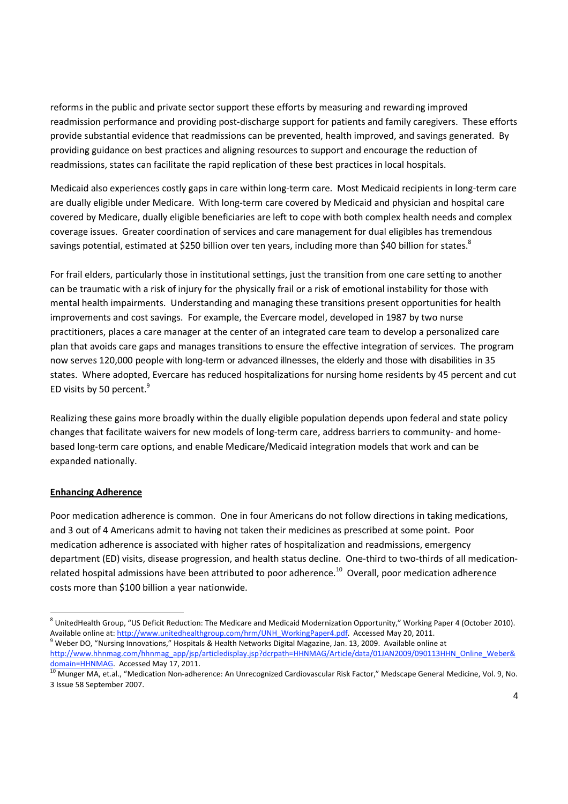reforms in the public and private sector support these efforts by measuring and rewarding improved readmission performance and providing post‐discharge support for patients and family caregivers. These efforts provide substantial evidence that readmissions can be prevented, health improved, and savings generated. By providing guidance on best practices and aligning resources to support and encourage the reduction of readmissions, states can facilitate the rapid replication of these best practices in local hospitals.

Medicaid also experiences costly gaps in care within long‐term care. Most Medicaid recipients in long‐term care are dually eligible under Medicare. With long-term care covered by Medicaid and physician and hospital care covered by Medicare, dually eligible beneficiaries are left to cope with both complex health needs and complex coverage issues. Greater coordination of services and care management for dual eligibles has tremendous savings potential, estimated at \$250 billion over ten years, including more than \$40 billion for states.<sup>8</sup>

For frail elders, particularly those in institutional settings, just the transition from one care setting to another can be traumatic with a risk of injury for the physically frail or a risk of emotional instability for those with mental health impairments. Understanding and managing these transitions present opportunities for health improvements and cost savings. For example, the Evercare model, developed in 1987 by two nurse practitioners, places a care manager at the center of an integrated care team to develop a personalized care plan that avoids care gaps and manages transitions to ensure the effective integration of services. The program now serves 120,000 people with long-term or advanced illnesses, the elderly and those with disabilities in 35 states. Where adopted, Evercare has reduced hospitalizations for nursing home residents by 45 percent and cut ED visits by 50 percent.<sup>9</sup>

Realizing these gains more broadly within the dually eligible population depends upon federal and state policy changes that facilitate waivers for new models of long-term care, address barriers to community- and homebased long‐term care options, and enable Medicare/Medicaid integration models that work and can be expanded nationally.

## **Enhancing Adherence**

Poor medication adherence is common. One in four Americans do not follow directions in taking medications, and 3 out of 4 Americans admit to having not taken their medicines as prescribed at some point. Poor medication adherence is associated with higher rates of hospitalization and readmissions, emergency department (ED) visits, disease progression, and health status decline. One-third to two-thirds of all medicationrelated hospital admissions have been attributed to poor adherence.<sup>10</sup> Overall, poor medication adherence costs more than \$100 billion a year nationwide.

<sup>&</sup>lt;sup>8</sup> UnitedHealth Group, "US Deficit Reduction: The Medicare and Medicaid Modernization Opportunity," Working Paper 4 (October 2010).<br>Available online at: http://www.unitedhealthgroup.com/hrm/UNH\_WorkingPaper4.pdf. Accessed

Weber DO, "Nursing Innovations," Hospitals & Health Networks Digital Magazine, Jan. 13, 2009. Available online at http://www.hhnmag.com/hhnmag\_app/jsp/articledisplay.jsp?dcrpath=HHNMAG/Article/data/01JAN2009/090113HHN\_Online\_Weber&

domain=HHNMAG. Accessed May 17, 2011.<br><sup>10</sup> Munger MA, et.al., "Medication Non-adherence: An Unrecognized Cardiovascular Risk Factor," Medscape General Medicine, Vol. 9, No. 3 Issue 58 September 2007.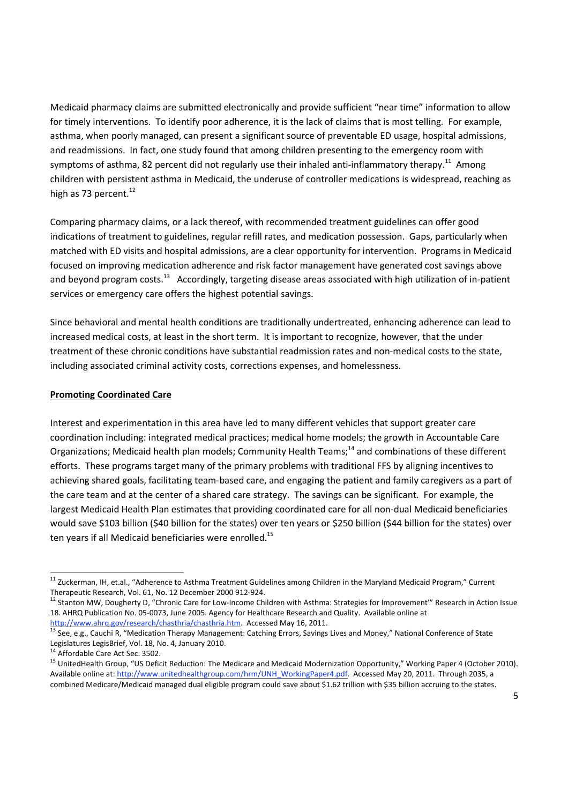Medicaid pharmacy claims are submitted electronically and provide sufficient "near time" information to allow for timely interventions. To identify poor adherence, it is the lack of claims that is most telling. For example, asthma, when poorly managed, can present a significant source of preventable ED usage, hospital admissions, and readmissions. In fact, one study found that among children presenting to the emergency room with symptoms of asthma, 82 percent did not regularly use their inhaled anti-inflammatory therapy.<sup>11</sup> Among children with persistent asthma in Medicaid, the underuse of controller medications is widespread, reaching as high as 73 percent. $^{12}$ 

Comparing pharmacy claims, or a lack thereof, with recommended treatment guidelines can offer good indications of treatment to guidelines, regular refill rates, and medication possession. Gaps, particularly when matched with ED visits and hospital admissions, are a clear opportunity for intervention. Programs in Medicaid focused on improving medication adherence and risk factor management have generated cost savings above and beyond program costs.<sup>13</sup> Accordingly, targeting disease areas associated with high utilization of in-patient services or emergency care offers the highest potential savings.

Since behavioral and mental health conditions are traditionally undertreated, enhancing adherence can lead to increased medical costs, at least in the short term. It is important to recognize, however, that the under treatment of these chronic conditions have substantial readmission rates and non‐medical costs to the state, including associated criminal activity costs, corrections expenses, and homelessness.

#### **Promoting Coordinated Care**

Interest and experimentation in this area have led to many different vehicles that support greater care coordination including: integrated medical practices; medical home models; the growth in Accountable Care Organizations; Medicaid health plan models; Community Health Teams;<sup>14</sup> and combinations of these different efforts. These programs target many of the primary problems with traditional FFS by aligning incentives to achieving shared goals, facilitating team-based care, and engaging the patient and family caregivers as a part of the care team and at the center of a shared care strategy. The savings can be significant. For example, the largest Medicaid Health Plan estimates that providing coordinated care for all non‐dual Medicaid beneficiaries would save \$103 billion (\$40 billion for the states) over ten years or \$250 billion (\$44 billion for the states) over ten years if all Medicaid beneficiaries were enrolled.<sup>15</sup>

<sup>&</sup>lt;sup>11</sup> Zuckerman, IH, et.al., "Adherence to Asthma Treatment Guidelines among Children in the Maryland Medicaid Program," Current<br>Therapeutic Research. Vol. 61. No. 12 December 2000 912-924.

<sup>12</sup> Stanton MW, Dougherty D, "Chronic Care for Low-Income Children with Asthma: Strategies for Improvement'" Research in Action Issue 18. AHRQ Publication No. 05-0073, June 2005. Agency for Healthcare Research and Quality. Available online at http://www.ahrg.gov/research/chasthria/chasthria.htm. Accessed May 16, 2011.

<sup>&</sup>lt;sup>13</sup> See, e.g., Cauchi R, "Medication Therapy Management: Catching Errors, Savings Lives and Money," National Conference of State Legislatures LegisBrief, Vol. 18, No. 4, January 2010.

<sup>&</sup>lt;sup>14</sup> Affordable Care Act Sec. 3502.<br><sup>15</sup> UnitedHealth Group, "US Deficit Reduction: The Medicare and Medicaid Modernization Opportunity," Working Paper 4 (October 2010). Available online at: http://www.unitedhealthgroup.com/hrm/UNH\_WorkingPaper4.pdf. Accessed May 20, 2011. Through 2035, a combined Medicare/Medicaid managed dual eligible program could save about \$1.62 trillion with \$35 billion accruing to the states.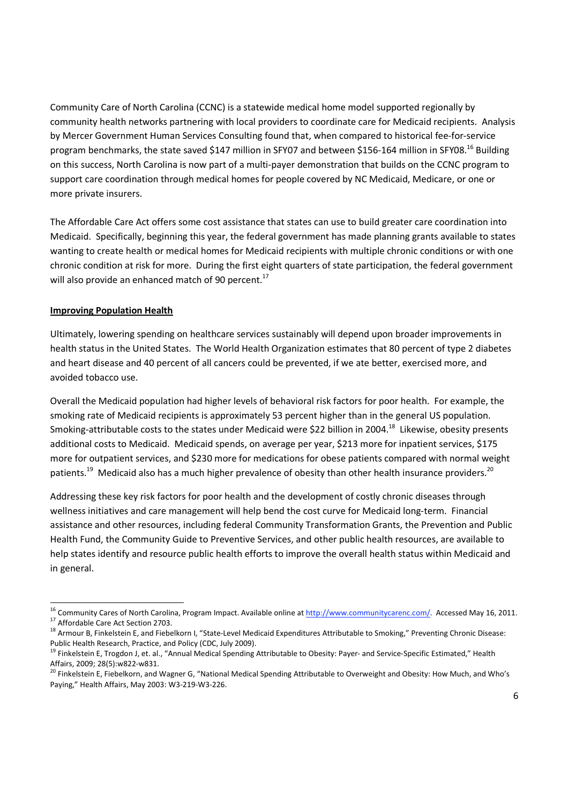Community Care of North Carolina (CCNC) is a statewide medical home model supported regionally by community health networks partnering with local providers to coordinate care for Medicaid recipients. Analysis by Mercer Government Human Services Consulting found that, when compared to historical fee‐for‐service program benchmarks, the state saved \$147 million in SFY07 and between \$156-164 million in SFY08.<sup>16</sup> Building on this success, North Carolina is now part of a multi‐payer demonstration that builds on the CCNC program to support care coordination through medical homes for people covered by NC Medicaid, Medicare, or one or more private insurers.

The Affordable Care Act offers some cost assistance that states can use to build greater care coordination into Medicaid. Specifically, beginning this year, the federal government has made planning grants available to states wanting to create health or medical homes for Medicaid recipients with multiple chronic conditions or with one chronic condition at risk for more. During the first eight quarters of state participation, the federal government will also provide an enhanced match of 90 percent.<sup>17</sup>

#### **Improving Population Health**

Ultimately, lowering spending on healthcare services sustainably will depend upon broader improvements in health status in the United States. The World Health Organization estimates that 80 percent of type 2 diabetes and heart disease and 40 percent of all cancers could be prevented, if we ate better, exercised more, and avoided tobacco use.

Overall the Medicaid population had higher levels of behavioral risk factors for poor health. For example, the smoking rate of Medicaid recipients is approximately 53 percent higher than in the general US population. Smoking-attributable costs to the states under Medicaid were \$22 billion in 2004.<sup>18</sup> Likewise, obesity presents additional costs to Medicaid. Medicaid spends, on average per year, \$213 more for inpatient services, \$175 more for outpatient services, and \$230 more for medications for obese patients compared with normal weight patients.<sup>19</sup> Medicaid also has a much higher prevalence of obesity than other health insurance providers.<sup>20</sup>

Addressing these key risk factors for poor health and the development of costly chronic diseases through wellness initiatives and care management will help bend the cost curve for Medicaid long-term. Financial assistance and other resources, including federal Community Transformation Grants, the Prevention and Public Health Fund, the Community Guide to Preventive Services, and other public health resources, are available to help states identify and resource public health efforts to improve the overall health status within Medicaid and in general.

<sup>&</sup>lt;sup>16</sup> Community Cares of North Carolina, Program Impact. Available online at http://www.communitycarenc.com/. Accessed May 16, 2011.<br><sup>17</sup> Affordable Care Act Section 2703.<br><sup>18</sup> Armour B, Finkelstein E, and Fiebelkorn I, "St

Public Health Research, Practice, and Policy (CDC, July 2009).

<sup>&</sup>lt;sup>19</sup> Finkelstein E, Trogdon J, et. al., "Annual Medical Spending Attributable to Obesity: Payer- and Service-Specific Estimated," Health

Affairs, 2009; 28(5):w822-w831.<br><sup>20</sup> Finkelstein E, Fiebelkorn, and Wagner G, "National Medical Spending Attributable to Overweight and Obesity: How Much, and Who's Paying," Health Affairs, May 2003: W3‐219‐W3‐226.